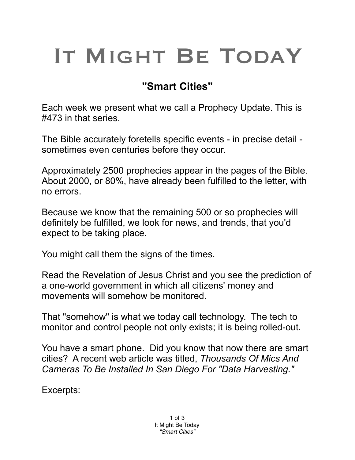## IT MIGHT BE TODAY

## **"Smart Cities"**

Each week we present what we call a Prophecy Update. This is #473 in that series.

The Bible accurately foretells specific events - in precise detail sometimes even centuries before they occur.

Approximately 2500 prophecies appear in the pages of the Bible. About 2000, or 80%, have already been fulfilled to the letter, with no errors.

Because we know that the remaining 500 or so prophecies will definitely be fulfilled, we look for news, and trends, that you'd expect to be taking place.

You might call them the signs of the times.

Read the Revelation of Jesus Christ and you see the prediction of a one-world government in which all citizens' money and movements will somehow be monitored.

That "somehow" is what we today call technology. The tech to monitor and control people not only exists; it is being rolled-out.

You have a smart phone. Did you know that now there are smart cities? A recent web article was titled, *Thousands Of Mics And Cameras To Be Installed In San Diego For "Data Harvesting."*

Excerpts: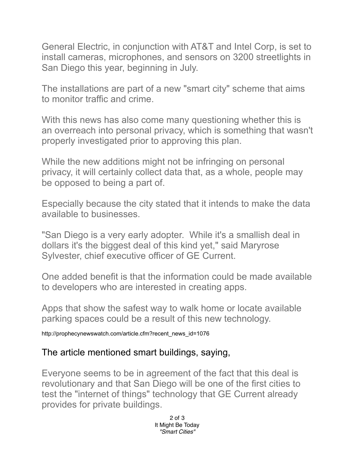General Electric, in conjunction with AT&T and Intel Corp, is set to install cameras, microphones, and sensors on 3200 streetlights in San Diego this year, beginning in July.

The installations are part of a new "smart city" scheme that aims to monitor traffic and crime.

With this news has also come many questioning whether this is an overreach into personal privacy, which is something that wasn't properly investigated prior to approving this plan.

While the new additions might not be infringing on personal privacy, it will certainly collect data that, as a whole, people may be opposed to being a part of.

Especially because the city stated that it intends to make the data available to businesses.

"San Diego is a very early adopter. While it's a smallish deal in dollars it's the biggest deal of this kind yet," said Maryrose Sylvester, chief executive officer of GE Current.

One added benefit is that the information could be made available to developers who are interested in creating apps.

Apps that show the safest way to walk home or locate available parking spaces could be a result of this new technology.

http://prophecynewswatch.com/article.cfm?recent\_news\_id=1076

## The article mentioned smart buildings, saying,

Everyone seems to be in agreement of the fact that this deal is revolutionary and that San Diego will be one of the first cities to test the "internet of things" technology that GE Current already provides for private buildings.